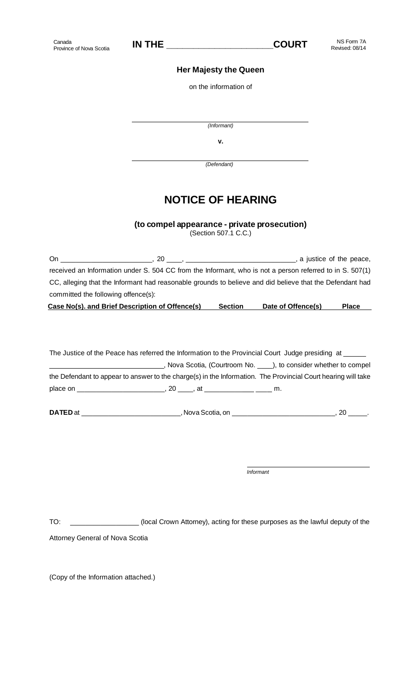## **Her Majesty the Queen**

on the information of

*(Informant)*

**v.** 

 *(Defendant)*

## **NOTICE OF HEARING**

**(to compel appearance - private prosecution)**

(Section 507.1 C.C.)

| On.                                 | -20<br>the company of the company of the company of the company of the company of the company of         | , a justice of the peace, |
|-------------------------------------|----------------------------------------------------------------------------------------------------------|---------------------------|
|                                     | received an Information under S. 504 CC from the Informant, who is not a person referred to in S. 507(1) |                           |
|                                     | CC, alleging that the Informant had reasonable grounds to believe and did believe that the Defendant had |                           |
| committed the following offence(s): |                                                                                                          |                           |

| Case No(s). and Brief Description of Offence(s) | <b>Section</b> | Date of Offence(s) | <b>Place</b> |
|-------------------------------------------------|----------------|--------------------|--------------|
|                                                 |                |                    |              |

The Justice of the Peace has referred the Information to the Provincial Court Judge presiding at \_\_\_\_\_\_ \_\_\_\_\_\_\_\_\_\_\_\_\_\_\_\_\_\_\_\_\_\_\_\_\_\_\_\_\_\_, Nova Scotia, (Courtroom No. \_\_\_\_), to consider whether to compel the Defendant to appear to answer to the charge(s) in the Information. The Provincial Court hearing will take place on \_\_\_\_\_\_\_\_\_\_\_\_\_\_\_\_\_\_\_\_\_\_\_, 20 \_\_\_\_, at \_\_\_\_\_\_\_\_\_\_ \_\_\_ m.

**DATED** at \_\_\_\_\_\_\_\_\_\_\_\_\_\_\_\_\_\_\_\_\_\_\_\_\_\_\_\_\_, Nova Scotia, on \_\_\_\_\_\_\_\_\_\_\_\_\_\_\_\_\_\_\_\_\_\_\_\_\_\_\_\_\_\_\_, 20 \_\_\_\_\_\_.

TO: \_\_\_\_\_\_\_\_\_\_\_\_\_\_\_\_\_\_ (local Crown Attorney), acting for these purposes as the lawful deputy of the

*Informant*

Attorney General of Nova Scotia

(Copy of the Information attached.)